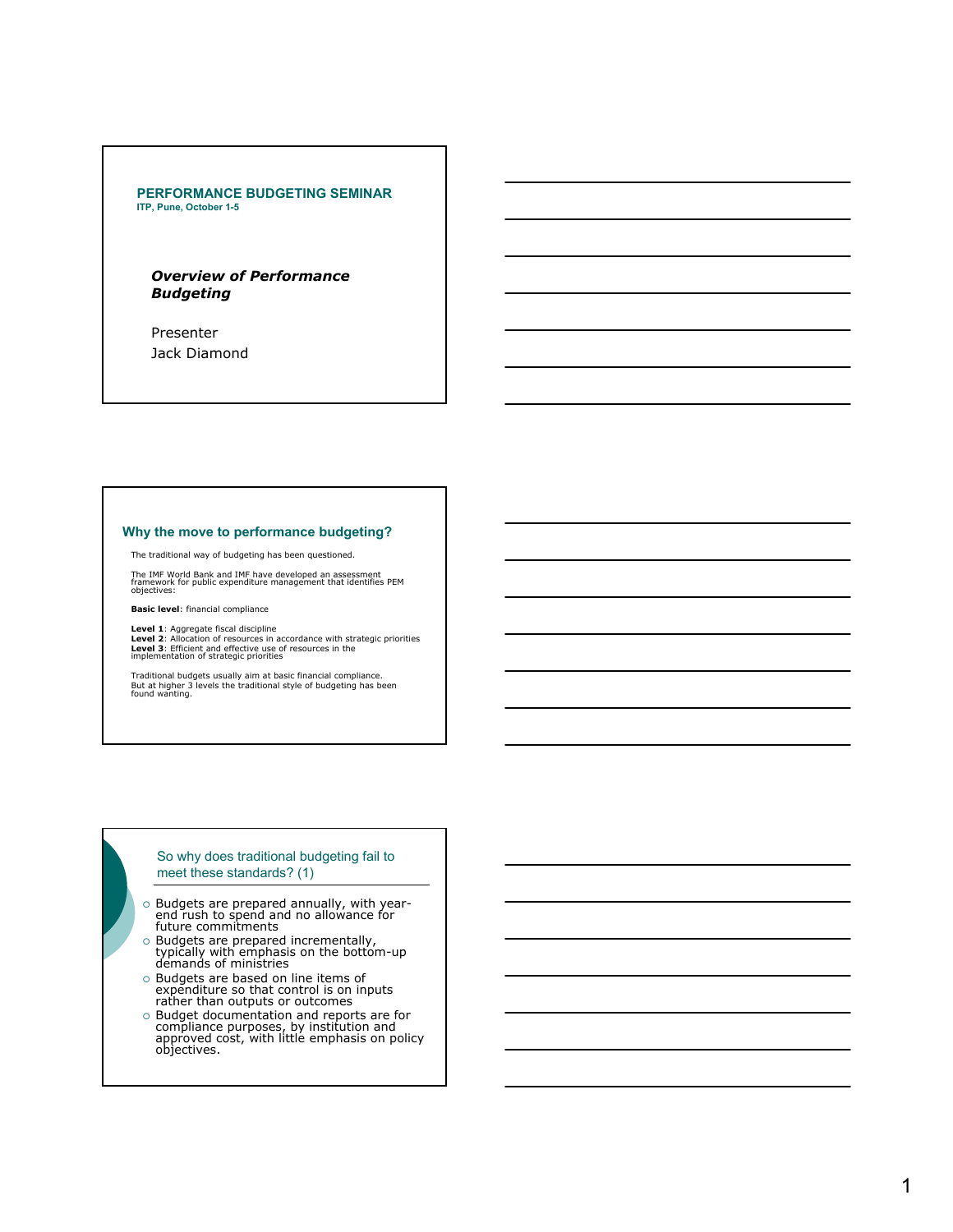#### **PERFORMANCE BUDGETING SEMINAR ITP, Pune, October 1-5**

# *Overview of Performance Budgeting*

Presenter Jack Diamond

## **Why the move to performance budgeting?**

The traditional way of budgeting has been questioned.

The IMF World Bank and IMF have developed an assessment framework for public expenditure management that identifies PEM objectives:

**Basic level**: financial compliance

**Level 1**: Aggregate fiscal discipline **Level 2**: Allocation of resources in accordance with strategic priorities **Level 3:** Efficient and effective use of resources in the implementation of strategic priorities

Traditional budgets usually aim at basic financial compliance. But at higher 3 levels the traditional style of budgeting has been found wanting.

## So why does traditional budgeting fail to meet these standards? (1)

- { Budgets are prepared annually, with year-end rush to spend and no allowance for future commitments
- o Budgets are prepared incrementally,<br>typically with emphasis on the bottom-up<br>demands of ministries
- { Budgets are based on line items of expenditure so that control is on inputs rather than outputs or outcomes
- o Budget documentation and reports are for<br>compliance purposes, by institution and<br>approved cost, with little emphasis on policy<br>objectives.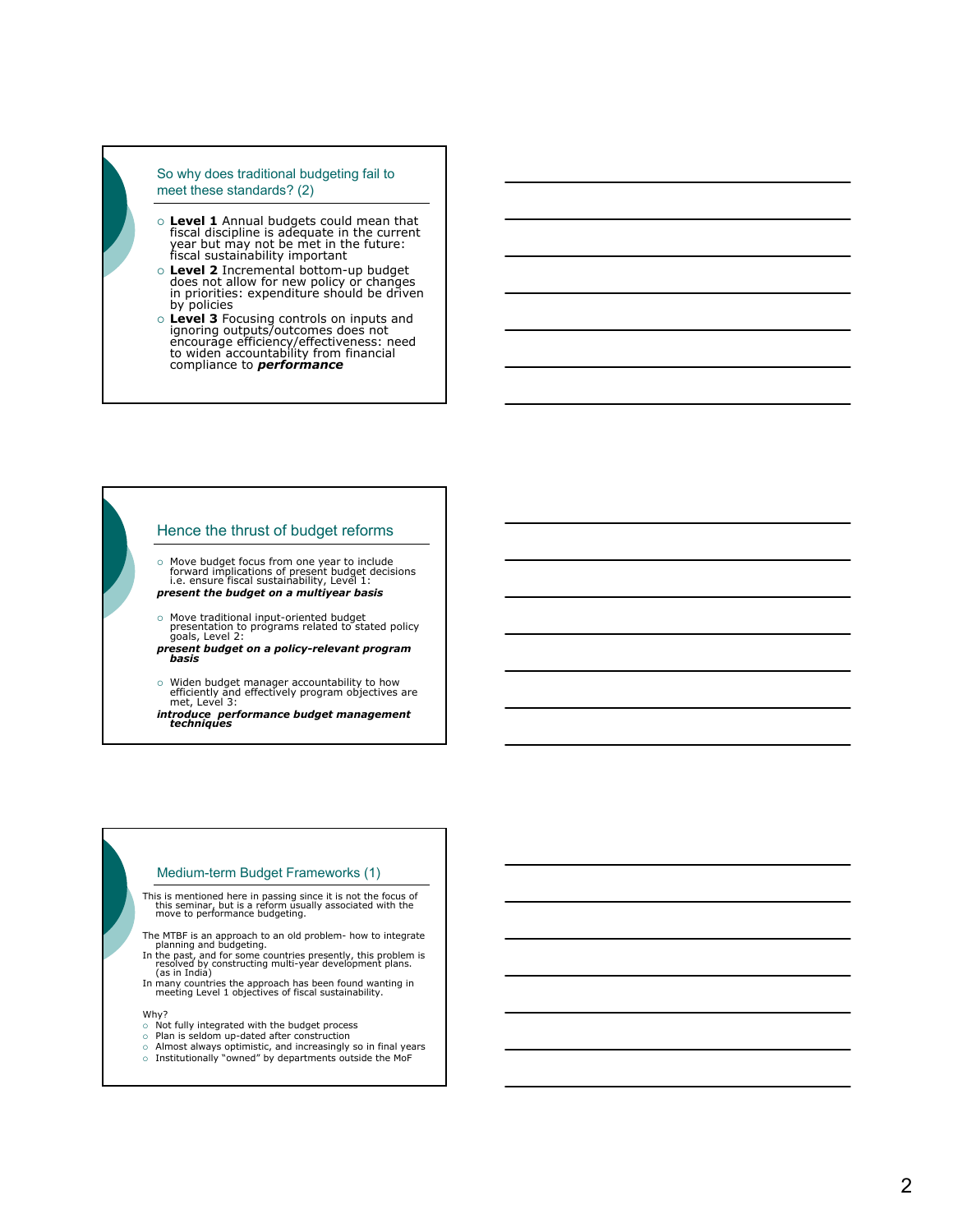#### So why does traditional budgeting fail to meet these standards? (2)

- { **Level 1** Annual budgets could mean that fiscal discipline is adequate in the current year but may not be met in the future: fiscal sustainability important
- o Level 2 Incremental bottom-up budget<br>does not allow for new policy or changes<br>in priorities: expenditure should be driven by policies
- { **Level 3** Focusing controls on inputs and ignoring outputs/outcomes does not encourage efficiency/effectiveness: need to widen accountability from financial compliance to *performance*

# Hence the thrust of budget reforms

{ Move budget focus from one year to include forward implications of present budget decisions i.e. ensure fiscal sustainability, Level 1: *present the budget on a multiyear basis*

{ Move traditional input-oriented budget presentation to programs related to stated policy goals, Level 2: *present budget on a policy-relevant program basis* 

o Widen budget manager accountability to how<br>efficiently and effectively program objectives are<br>met, Level 3:

*introduce performance budget management techniques*

# Medium-term Budget Frameworks (1)

This is mentioned here in passing since it is not the focus of this seminar, but is a reform usually associated with the move to performance budgeting.

- The MTBF is an approach to an old problem- how to integrate planning and budgeting.
- In the past, and for some countries presently, this problem is resolved by constructing multi-year development plans.<br>(as in India)
- In many countries the approach has been found wanting in meeting Level 1 objectives of fiscal sustainability.

Why?

- $\diamond$  Not fully integrated with the budget process<br>⊙ Plan is seldom up-dated after construction
- 
- o Almost always optimistic, and increasingly so in final years  $\circ$  Institutionally "owned" by departments outside the MoF
	-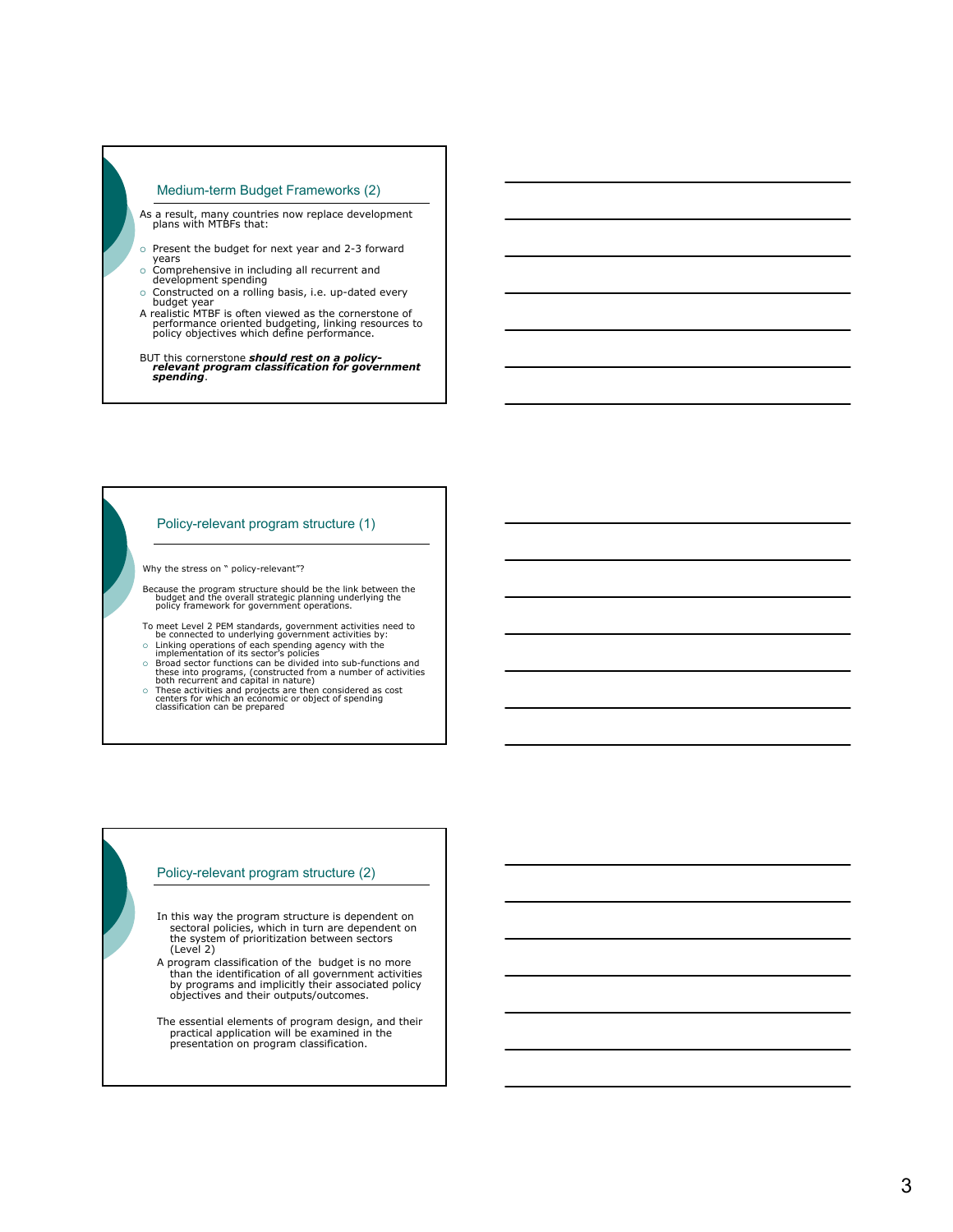## Medium-term Budget Frameworks (2)

- As a result, many countries now replace development plans with MTBFs that:
- $\circ$  Present the budget for next year and 2-3 forward years
- { Comprehensive in including all recurrent and development spending
- 
- { Constructed on a rolling basis, i.e. up-dated every budget year A realistic MTBF is often viewed as the cornerstone of performance oriented budgeting, linking resources to policy objectives which define performance.

BUT this cornerstone *should rest on a policy- relevant program classification for government spending* .

#### Policy-relevant program structure (1)

Why the stress on " policy-relevant"?

- Because the program structure should be the link between the budget and the overall strategic planning underlying the policy framework for government operations.
- To meet Level 2 PEM standards, government activities need to<br>be connected to underlying government activities by:<br>o Linking operations of each spending agency with the<br>implementation of its sector's policies
- 
- 
- $\circ$  Broad sector functions can be divided into sub-functions and<br>these into programs, (constructed from a number of activities<br>both recurrent and capital in nature)<br> $\circ$  These activities and projects are then considered
- 

## Policy-relevant program structure (2)

- In this way the program structure is dependent on sectoral policies, which in turn are dependent on the system of prioritization between sectors (Level 2)
- A program classification of the budget is no more than the identification of all government activities by programs and implicitly their associated policy objectives and their outputs/outcomes.
- The essential elements of program design, and their practical application will be examined in the presentation on program classification.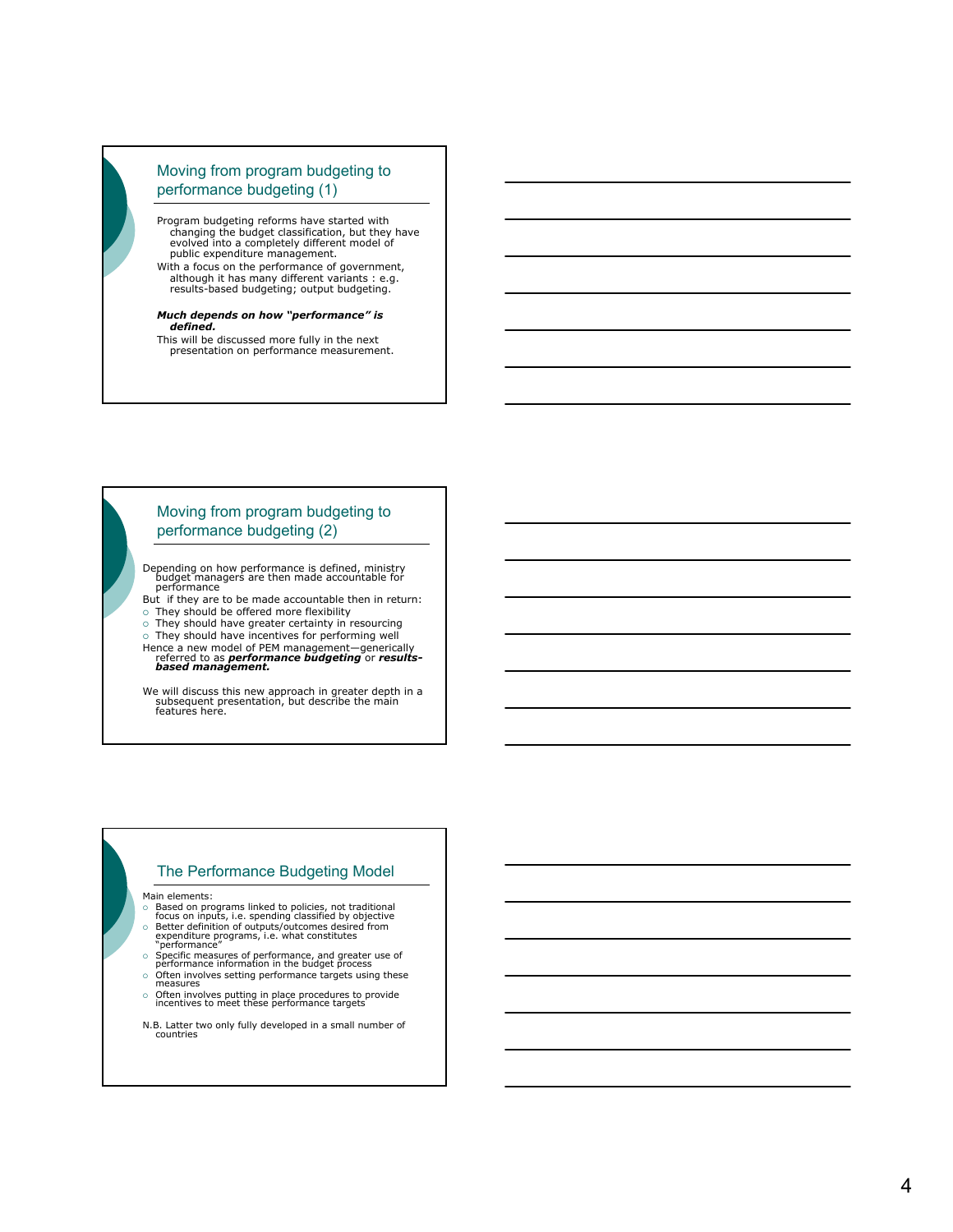# Moving from program budgeting to performance budgeting (1)

Program budgeting reforms have started with changing the budget classification, but they have evolved into a completely different model of public expenditure management.

With a focus on the performance of government, although it has many different variants : e.g. results-based budgeting; output budgeting.

#### *Much depends on how "performance" is defined.*

This will be discussed more fully in the next presentation on performance measurement.

# Moving from program budgeting to performance budgeting (2)

Depending on how performance is defined, ministry budget managers are then made accountable for performance

- But if they are to be made accountable then in return:  $\circ$  They should be offered more flexibility
- $\circ$  They should have greater certainty in resourcing
- $\circ$  They should have incentives for performing well
- Hence a new model of PEM management—generically referred to as *performance budgeting* or *results-based management.*

We will discuss this new approach in greater depth in a<br>subsequent presentation, but describe the main<br>features here.

# The Performance Budgeting Model

Main elements:

- { Based on programs linked to policies, not traditional focus on inputs, i.e. spending classified by objective
- o Better definition of outputs/outcomes desired from<br>expenditure programs, i.e. what constitutes<br>"performance"
- 
- { Specific measures of performance, and greater use of performance information in the budget process { Often involves setting performance targets using these measures
- 
- { Often involves putting in place procedures to provide incentives to meet these performance targets
- N.B. Latter two only fully developed in a small number of countries